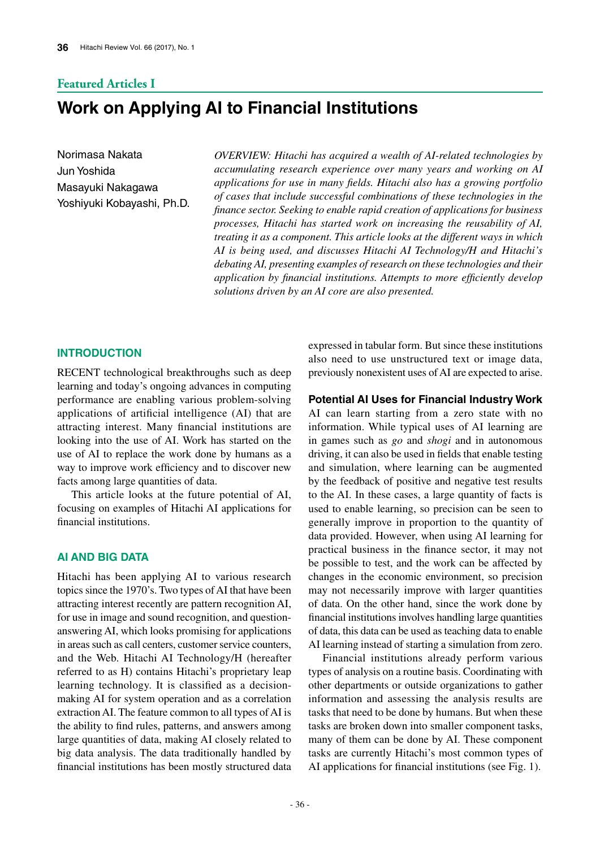# **Featured Articles I**

# **Work on Applying AI to Financial Institutions**

Norimasa Nakata Jun Yoshida Masayuki Nakagawa Yoshiyuki Kobayashi, Ph.D.

*OVERVIEW: Hitachi has acquired a wealth of AI-related technologies by accumulating research experience over many years and working on AI applications for use in many fields. Hitachi also has a growing portfolio of cases that include successful combinations of these technologies in the finance sector. Seeking to enable rapid creation of applications for business processes, Hitachi has started work on increasing the reusability of AI, treating it as a component. This article looks at the different ways in which AI is being used, and discusses Hitachi AI Technology/H and Hitachi's debating AI, presenting examples of research on these technologies and their application by financial institutions. Attempts to more efficiently develop solutions driven by an AI core are also presented.*

### **INTRODUCTION**

RECENT technological breakthroughs such as deep learning and today's ongoing advances in computing performance are enabling various problem-solving applications of artificial intelligence (AI) that are attracting interest. Many financial institutions are looking into the use of AI. Work has started on the use of AI to replace the work done by humans as a way to improve work efficiency and to discover new facts among large quantities of data.

This article looks at the future potential of AI, focusing on examples of Hitachi AI applications for financial institutions.

# **AI AND BIG DATA**

Hitachi has been applying AI to various research topics since the 1970's. Two types of AI that have been attracting interest recently are pattern recognition AI, for use in image and sound recognition, and questionanswering AI, which looks promising for applications in areas such as call centers, customer service counters, and the Web. Hitachi AI Technology/H (hereafter referred to as H) contains Hitachi's proprietary leap learning technology. It is classified as a decisionmaking AI for system operation and as a correlation extraction AI. The feature common to all types of AI is the ability to find rules, patterns, and answers among large quantities of data, making AI closely related to big data analysis. The data traditionally handled by financial institutions has been mostly structured data expressed in tabular form. But since these institutions also need to use unstructured text or image data, previously nonexistent uses of AI are expected to arise.

#### **Potential AI Uses for Financial Industry Work**

AI can learn starting from a zero state with no information. While typical uses of AI learning are in games such as *go* and *shogi* and in autonomous driving, it can also be used in fields that enable testing and simulation, where learning can be augmented by the feedback of positive and negative test results to the AI. In these cases, a large quantity of facts is used to enable learning, so precision can be seen to generally improve in proportion to the quantity of data provided. However, when using AI learning for practical business in the finance sector, it may not be possible to test, and the work can be affected by changes in the economic environment, so precision may not necessarily improve with larger quantities of data. On the other hand, since the work done by financial institutions involves handling large quantities of data, this data can be used as teaching data to enable AI learning instead of starting a simulation from zero.

Financial institutions already perform various types of analysis on a routine basis. Coordinating with other departments or outside organizations to gather information and assessing the analysis results are tasks that need to be done by humans. But when these tasks are broken down into smaller component tasks, many of them can be done by AI. These component tasks are currently Hitachi's most common types of AI applications for financial institutions (see Fig. 1).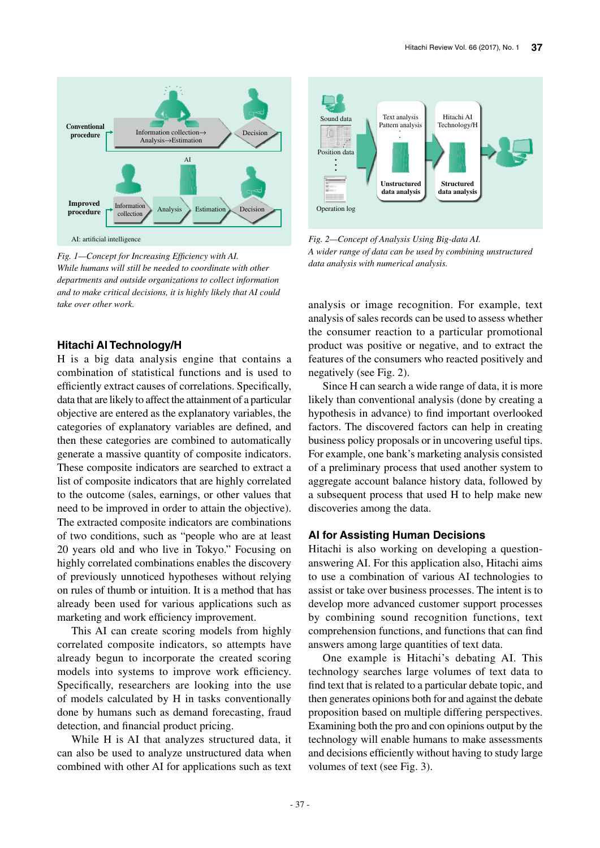

*Fig. 1—Concept for Increasing Efficiency with AI. While humans will still be needed to coordinate with other departments and outside organizations to collect information and to make critical decisions, it is highly likely that AI could take over other work.*

# **Hitachi AI Technology/H**

H is a big data analysis engine that contains a combination of statistical functions and is used to efficiently extract causes of correlations. Specifically, data that are likely to affect the attainment of a particular objective are entered as the explanatory variables, the categories of explanatory variables are defined, and then these categories are combined to automatically generate a massive quantity of composite indicators. These composite indicators are searched to extract a list of composite indicators that are highly correlated to the outcome (sales, earnings, or other values that need to be improved in order to attain the objective). The extracted composite indicators are combinations of two conditions, such as "people who are at least 20 years old and who live in Tokyo." Focusing on highly correlated combinations enables the discovery of previously unnoticed hypotheses without relying on rules of thumb or intuition. It is a method that has already been used for various applications such as marketing and work efficiency improvement.

This AI can create scoring models from highly correlated composite indicators, so attempts have already begun to incorporate the created scoring models into systems to improve work efficiency. Specifically, researchers are looking into the use of models calculated by H in tasks conventionally done by humans such as demand forecasting, fraud detection, and financial product pricing.

While H is AI that analyzes structured data, it can also be used to analyze unstructured data when combined with other AI for applications such as text



*Fig. 2—Concept of Analysis Using Big-data AI. A wider range of data can be used by combining unstructured data analysis with numerical analysis.*

analysis or image recognition. For example, text analysis of sales records can be used to assess whether the consumer reaction to a particular promotional product was positive or negative, and to extract the features of the consumers who reacted positively and negatively (see Fig. 2).

Since H can search a wide range of data, it is more likely than conventional analysis (done by creating a hypothesis in advance) to find important overlooked factors. The discovered factors can help in creating business policy proposals or in uncovering useful tips. For example, one bank's marketing analysis consisted of a preliminary process that used another system to aggregate account balance history data, followed by a subsequent process that used H to help make new discoveries among the data.

### **AI for Assisting Human Decisions**

Hitachi is also working on developing a questionanswering AI. For this application also, Hitachi aims to use a combination of various AI technologies to assist or take over business processes. The intent is to develop more advanced customer support processes by combining sound recognition functions, text comprehension functions, and functions that can find answers among large quantities of text data.

One example is Hitachi's debating AI. This technology searches large volumes of text data to find text that is related to a particular debate topic, and then generates opinions both for and against the debate proposition based on multiple differing perspectives. Examining both the pro and con opinions output by the technology will enable humans to make assessments and decisions efficiently without having to study large volumes of text (see Fig. 3).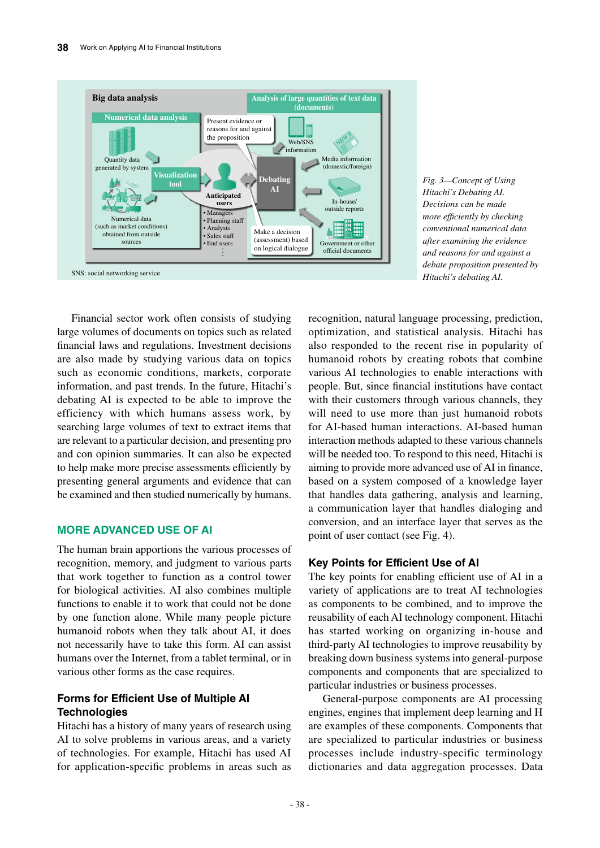

*Fig. 3—Concept of Using Hitachi's Debating AI. Decisions can be made more efficiently by checking conventional numerical data after examining the evidence and reasons for and against a debate proposition presented by* 

Financial sector work often consists of studying large volumes of documents on topics such as related financial laws and regulations. Investment decisions are also made by studying various data on topics such as economic conditions, markets, corporate information, and past trends. In the future, Hitachi's debating AI is expected to be able to improve the efficiency with which humans assess work, by searching large volumes of text to extract items that are relevant to a particular decision, and presenting pro and con opinion summaries. It can also be expected to help make more precise assessments efficiently by presenting general arguments and evidence that can be examined and then studied numerically by humans.

## **MORE ADVANCED USE OF AI**

The human brain apportions the various processes of recognition, memory, and judgment to various parts that work together to function as a control tower for biological activities. AI also combines multiple functions to enable it to work that could not be done by one function alone. While many people picture humanoid robots when they talk about AI, it does not necessarily have to take this form. AI can assist humans over the Internet, from a tablet terminal, or in various other forms as the case requires.

# **Forms for Efficient Use of Multiple AI Technologies**

Hitachi has a history of many years of research using AI to solve problems in various areas, and a variety of technologies. For example, Hitachi has used AI for application-specific problems in areas such as

recognition, natural language processing, prediction, optimization, and statistical analysis. Hitachi has also responded to the recent rise in popularity of humanoid robots by creating robots that combine various AI technologies to enable interactions with people. But, since financial institutions have contact with their customers through various channels, they will need to use more than just humanoid robots for AI-based human interactions. AI-based human interaction methods adapted to these various channels will be needed too. To respond to this need, Hitachi is aiming to provide more advanced use of AI in finance, based on a system composed of a knowledge layer that handles data gathering, analysis and learning, a communication layer that handles dialoging and conversion, and an interface layer that serves as the point of user contact (see Fig. 4).

# **Key Points for Efficient Use of AI**

The key points for enabling efficient use of AI in a variety of applications are to treat AI technologies as components to be combined, and to improve the reusability of each AI technology component. Hitachi has started working on organizing in-house and third-party AI technologies to improve reusability by breaking down business systems into general-purpose components and components that are specialized to particular industries or business processes.

General-purpose components are AI processing engines, engines that implement deep learning and H are examples of these components. Components that are specialized to particular industries or business processes include industry-specific terminology dictionaries and data aggregation processes. Data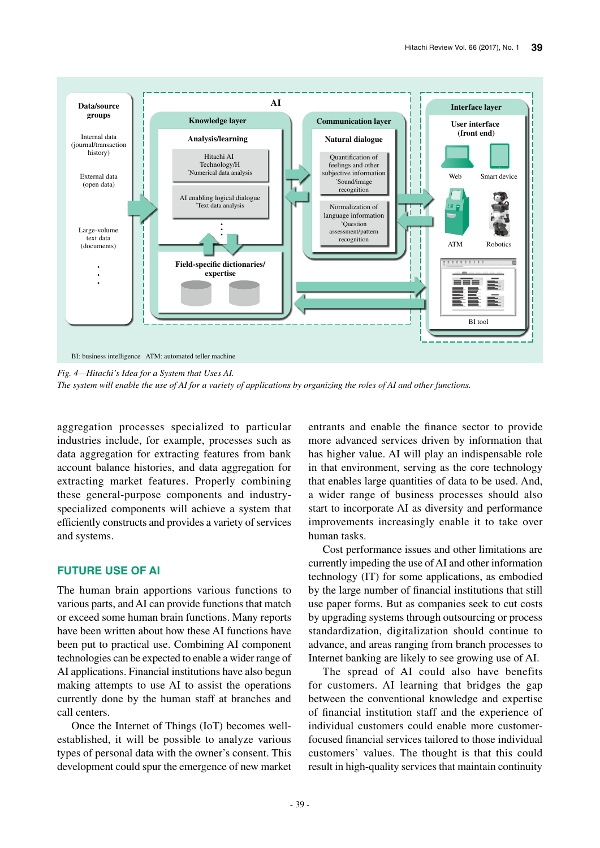

*Fig. 4—Hitachi's Idea for a System that Uses AI.*

*The system will enable the use of AI for a variety of applications by organizing the roles of AI and other functions.*

aggregation processes specialized to particular industries include, for example, processes such as data aggregation for extracting features from bank account balance histories, and data aggregation for extracting market features. Properly combining these general-purpose components and industryspecialized components will achieve a system that efficiently constructs and provides a variety of services and systems.

# **FUTURE USE OF AI**

The human brain apportions various functions to various parts, and AI can provide functions that match or exceed some human brain functions. Many reports have been written about how these AI functions have been put to practical use. Combining AI component technologies can be expected to enable a wider range of AI applications. Financial institutions have also begun making attempts to use AI to assist the operations currently done by the human staff at branches and call centers.

Once the Internet of Things (IoT) becomes wellestablished, it will be possible to analyze various types of personal data with the owner's consent. This development could spur the emergence of new market entrants and enable the finance sector to provide more advanced services driven by information that has higher value. AI will play an indispensable role in that environment, serving as the core technology that enables large quantities of data to be used. And, a wider range of business processes should also start to incorporate AI as diversity and performance improvements increasingly enable it to take over human tasks.

Cost performance issues and other limitations are currently impeding the use of AI and other information technology (IT) for some applications, as embodied by the large number of financial institutions that still use paper forms. But as companies seek to cut costs by upgrading systems through outsourcing or process standardization, digitalization should continue to advance, and areas ranging from branch processes to Internet banking are likely to see growing use of AI.

The spread of AI could also have benefits for customers. AI learning that bridges the gap between the conventional knowledge and expertise of financial institution staff and the experience of individual customers could enable more customerfocused financial services tailored to those individual customers' values. The thought is that this could result in high-quality services that maintain continuity